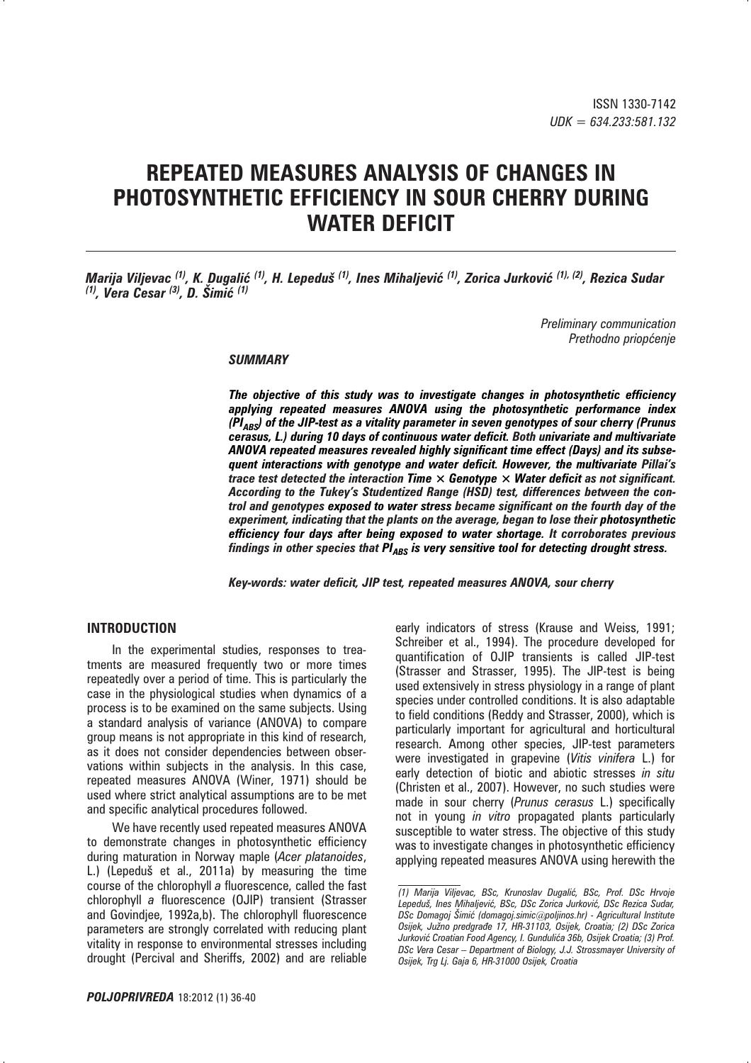# **REPEATED MEASURES ANALYSIS OF CHANGES IN PHOTOSYNTHETIC EFFICIENCY IN SOUR CHERRY DURING WATER DEFICIT**

*Marija Viljevac <sup>(1)</sup>, K. Dugalić <sup>(1)</sup>, H. Lepeduš <sup>(1)</sup>, Ines Mihaljević <sup>(1)</sup>, Zorica Jurković <sup>(1), (2)</sup>, Rezica Sudar (1), Vera Cesar (3), D. Šimić (1)* 

> *Preliminary communication Prethodno priop}enje*

#### *SUMMARY*

*The objective of this study was to investigate changes in photosynthetic efficiency applying repeated measures ANOVA using the photosynthetic performance index (PI<sub>ABS</sub>)* of the JIP-test as a vitality parameter in seven genotypes of sour cherry (Prunus *cerasus, L.) during 10 days of continuous water deficit. Both univariate and multivariate ANOVA repeated measures revealed highly significant time effect (Days) and its subsequent interactions with genotype and water deficit. However, the multivariate Pillai's trace test detected the interaction Time × Genotype × Water deficit as not significant. According to the Tukey's Studentized Range (HSD) test, differences between the control and genotypes exposed to water stress became significant on the fourth day of the experiment, indicating that the plants on the average, began to lose their photosynthetic efficiency four days after being exposed to water shortage. It corroborates previous findings in other species that PI<sub>ABS</sub> is very sensitive tool for detecting drought stress.* 

*Key-words: water deficit, JIP test, repeated measures ANOVA, sour cherry* 

# **INTRODUCTION**

In the experimental studies, responses to treatments are measured frequently two or more times repeatedly over a period of time. This is particularly the case in the physiological studies when dynamics of a process is to be examined on the same subjects. Using a standard analysis of variance (ANOVA) to compare group means is not appropriate in this kind of research, as it does not consider dependencies between observations within subjects in the analysis. In this case, repeated measures ANOVA (Winer, 1971) should be used where strict analytical assumptions are to be met and specific analytical procedures followed.

We have recently used repeated measures ANOVA to demonstrate changes in photosynthetic efficiency during maturation in Norway maple (*Acer platanoides*, L.) (Lepeduš et al., 2011a) by measuring the time course of the chlorophyll *a* fluorescence, called the fast chlorophyll *a* fluorescence (OJIP) transient (Strasser and Govindjee, 1992a,b). The chlorophyll fluorescence parameters are strongly correlated with reducing plant vitality in response to environmental stresses including drought (Percival and Sheriffs, 2002) and are reliable

early indicators of stress (Krause and Weiss, 1991; Schreiber et al., 1994). The procedure developed for quantification of OJIP transients is called JIP-test (Strasser and Strasser, 1995). The JIP-test is being used extensively in stress physiology in a range of plant species under controlled conditions. It is also adaptable to field conditions (Reddy and Strasser, 2000), which is particularly important for agricultural and horticultural research. Among other species, JIP-test parameters were investigated in grapevine (*Vitis vinifera* L.) for early detection of biotic and abiotic stresses *in situ* (Christen et al., 2007). However, no such studies were made in sour cherry (*Prunus cerasus* L.) specifically not in young *in vitro* propagated plants particularly susceptible to water stress. The objective of this study was to investigate changes in photosynthetic efficiency applying repeated measures ANOVA using herewith the

*<sup>(1)</sup> Marija Viljevac, BSc, Krunoslav Dugali}, BSc, Prof. DSc Hrvoje Lepedu{, Ines Mihaljevi}, BSc, DSc Zorica Jurkovi}, DSc Rezica Sudar, DSc Domagoj [imi} (domagoj.simic@poljinos.hr) - Agricultural Institute Osijek, Ju`no predgra|e 17, HR-31103, Osijek, Croatia; (2) DSc Zorica*  Jurković Croatian Food Agency, I. Gundulića 36b, Osijek Croatia; (3) Prof. *DSc Vera Cesar – Department of Biology, J.J. Strossmayer University of Osijek, Trg Lj. Gaja 6, HR-31000 Osijek, Croatia*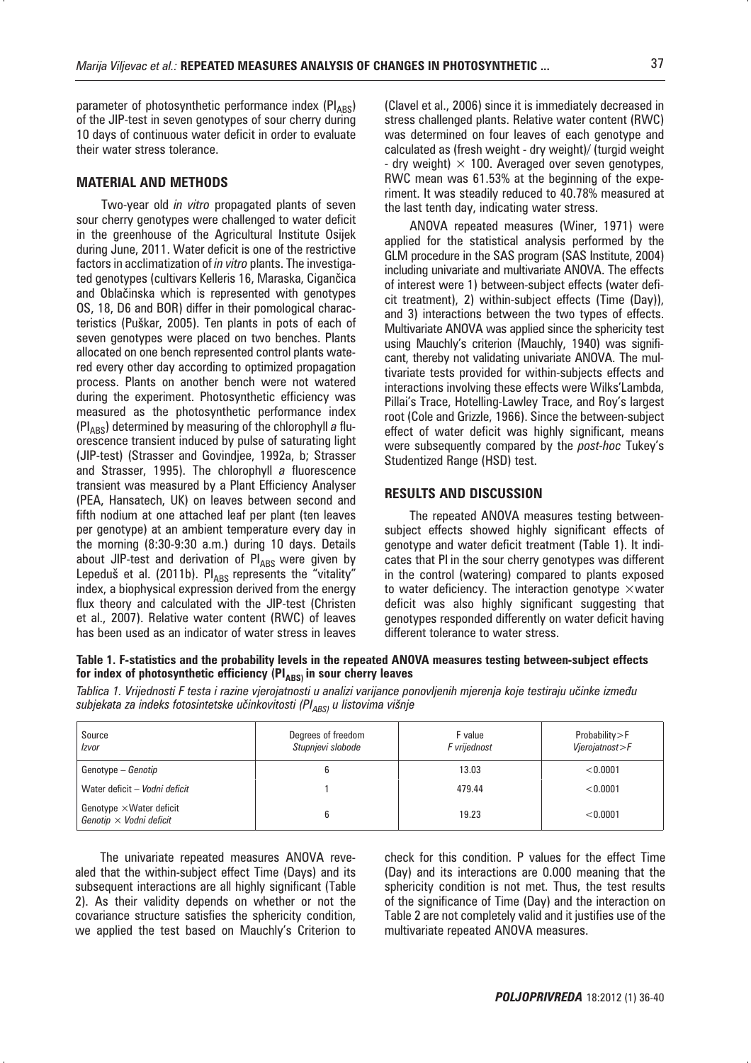parameter of photosynthetic performance index (PIABS) of the JIP-test in seven genotypes of sour cherry during 10 days of continuous water deficit in order to evaluate their water stress tolerance.

#### **MATERIAL AND METHODS**

Two-year old *in vitro* propagated plants of seven sour cherry genotypes were challenged to water deficit in the greenhouse of the Agricultural Institute Osijek during June, 2011. Water deficit is one of the restrictive factors in acclimatization of *in vitro* plants. The investigated genotypes (cultivars Kelleris 16, Maraska, Cigančica and Oblačinska which is represented with genotypes OS, 18, D6 and BOR) differ in their pomological characteristics (Puškar, 2005). Ten plants in pots of each of seven genotypes were placed on two benches. Plants allocated on one bench represented control plants watered every other day according to optimized propagation process. Plants on another bench were not watered during the experiment. Photosynthetic efficiency was measured as the photosynthetic performance index (PI<sub>ABS</sub>) determined by measuring of the chlorophyll *a* fluorescence transient induced by pulse of saturating light (JIP-test) (Strasser and Govindjee, 1992a, b; Strasser and Strasser, 1995). The chlorophyll *a* fluorescence transient was measured by a Plant Efficiency Analyser (PEA, Hansatech, UK) on leaves between second and fifth nodium at one attached leaf per plant (ten leaves per genotype) at an ambient temperature every day in the morning (8:30-9:30 a.m.) during 10 days. Details about JIP-test and derivation of  $PI_{ABS}$  were given by Lepeduš et al. (2011b).  $PI_{ABS}$  represents the "vitality" index, a biophysical expression derived from the energy flux theory and calculated with the JIP-test (Christen et al., 2007). Relative water content (RWC) of leaves has been used as an indicator of water stress in leaves

(Clavel et al., 2006) since it is immediately decreased in stress challenged plants. Relative water content (RWC) was determined on four leaves of each genotype and calculated as (fresh weight - dry weight)/ (turgid weight - dry weight)  $\times$  100. Averaged over seven genotypes, RWC mean was 61.53% at the beginning of the experiment. It was steadily reduced to 40.78% measured at the last tenth day, indicating water stress.

ANOVA repeated measures (Winer, 1971) were applied for the statistical analysis performed by the GLM procedure in the SAS program (SAS Institute, 2004) including univariate and multivariate ANOVA. The effects of interest were 1) between-subject effects (water deficit treatment), 2) within-subject effects (Time (Day)), and 3) interactions between the two types of effects. Multivariate ANOVA was applied since the sphericity test using Mauchly's criterion (Mauchly, 1940) was significant, thereby not validating univariate ANOVA. The multivariate tests provided for within-subjects effects and interactions involving these effects were Wilks'Lambda, Pillai's Trace, Hotelling-Lawley Trace, and Roy's largest root (Cole and Grizzle, 1966). Since the between-subject effect of water deficit was highly significant, means were subsequently compared by the *post-hoc* Tukey's Studentized Range (HSD) test.

# **RESULTS AND DISCUSSION**

The repeated ANOVA measures testing betweensubject effects showed highly significant effects of genotype and water deficit treatment (Table 1). It indicates that PI in the sour cherry genotypes was different in the control (watering) compared to plants exposed to water deficiency. The interaction genotype  $\times$  water deficit was also highly significant suggesting that genotypes responded differently on water deficit having different tolerance to water stress.

**Table 1. F-statistics and the probability levels in the repeated ANOVA measures testing between-subject effects**  for index of photosynthetic efficiency (PI<sub>ABS)</sub> in sour cherry leaves

Tablica 1. Vrijednosti F testa i razine vjerojatnosti u analizi varijance ponovljenih mjerenja koje testiraju učinke između subjekata za indeks fotosintetske učinkovitosti (PI<sub>ABS)</sub> u listovima višnje

| Source<br>Izvor                                                   | Degrees of freedom<br>Stupnjevi slobode | F value<br>F vrijednost | Probability>F<br>Vjerojatnost>F |
|-------------------------------------------------------------------|-----------------------------------------|-------------------------|---------------------------------|
| Genotype – <i>Genotip</i>                                         |                                         | 13.03                   | < 0.0001                        |
| Water deficit - Vodni deficit                                     |                                         | 479.44                  | < 0.0001                        |
| Genotype $\times$ Water deficit<br>Genotip $\times$ Vodni deficit |                                         | 19.23                   | < 0.0001                        |

The univariate repeated measures ANOVA revealed that the within-subject effect Time (Days) and its subsequent interactions are all highly significant (Table 2). As their validity depends on whether or not the covariance structure satisfies the sphericity condition, we applied the test based on Mauchly's Criterion to

check for this condition. P values for the effect Time (Day) and its interactions are 0.000 meaning that the sphericity condition is not met. Thus, the test results of the significance of Time (Day) and the interaction on Table 2 are not completely valid and it justifies use of the multivariate repeated ANOVA measures.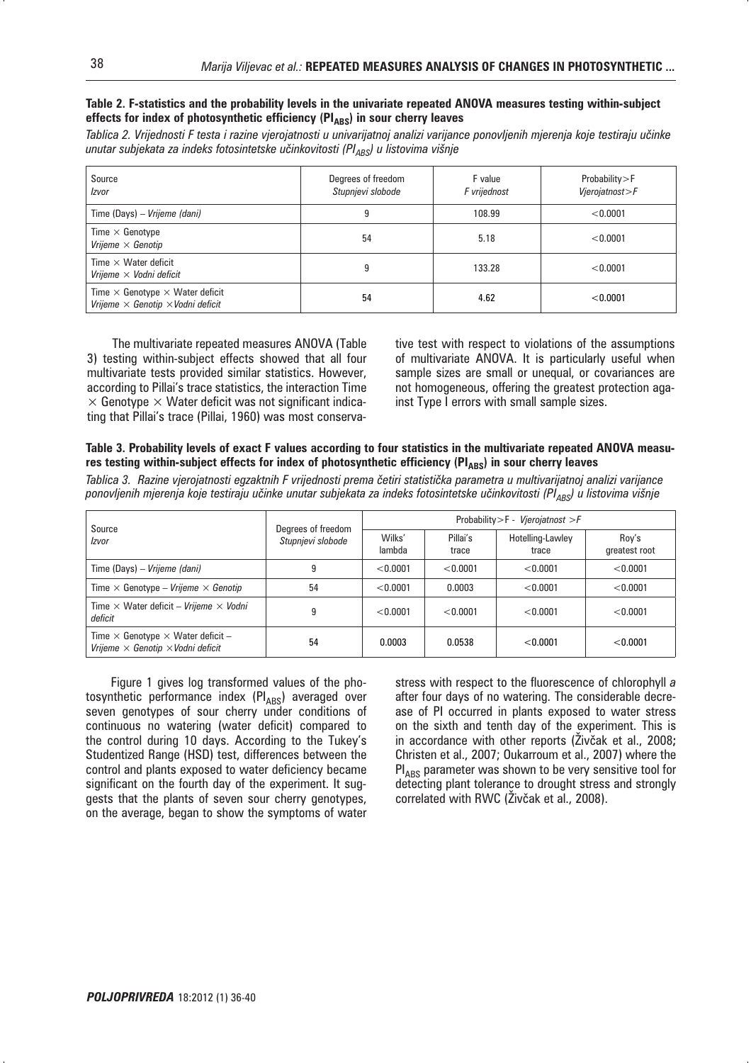#### **Table 2. F-statistics and the probability levels in the univariate repeated ANOVA measures testing within-subject**  effects for index of photosynthetic efficiency (PI<sub>ARS</sub>) in sour cherry leaves

Tablica 2. Vrijednosti F testa i razine vjerojatnosti u univarijatnoj analizi varijance ponovljenih mjerenja koje testiraju učinke *unutar subjekata za indeks fotosintetske učinkovitosti (PI<sub>ABS</sub>) u listovima višnje* 

| Source<br>Izvor                                                                                  | Degrees of freedom<br>F value<br>Stupnjevi slobode<br>F vrijednost |        | Probability>F<br>Vjerojatnost>F |  |
|--------------------------------------------------------------------------------------------------|--------------------------------------------------------------------|--------|---------------------------------|--|
| Time (Days) – Vrijeme (dani)                                                                     | 9                                                                  | 108.99 | < 0.0001                        |  |
| Time $\times$ Genotype<br>Vrijeme $\times$ Genotip                                               | 54                                                                 | 5.18   | < 0.0001                        |  |
| Time $\times$ Water deficit<br>Vrijeme $\times$ Vodni deficit                                    | 9                                                                  | 133.28 | < 0.0001                        |  |
| Time $\times$ Genotype $\times$ Water deficit<br>Vrijeme $\times$ Genotip $\times$ Vodni deficit | 54                                                                 | 4.62   | < 0.0001                        |  |

The multivariate repeated measures ANOVA (Table 3) testing within-subject effects showed that all four multivariate tests provided similar statistics. However, according to Pillai's trace statistics, the interaction Time  $\times$  Genotype  $\times$  Water deficit was not significant indicating that Pillai's trace (Pillai, 1960) was most conservative test with respect to violations of the assumptions of multivariate ANOVA. It is particularly useful when sample sizes are small or unequal, or covariances are not homogeneous, offering the greatest protection against Type I errors with small sample sizes.

#### **Table 3. Probability levels of exact F values according to four statistics in the multivariate repeated ANOVA measu**res testing within-subject effects for index of photosynthetic efficiency (PI<sub>ABS</sub>) in sour cherry leaves

Tablica 3. Razine vjerojatnosti egzaktnih F vrijednosti prema četiri statistička parametra u multivarijatnoj analizi varijance ponovljenih mjerenja koje testiraju učinke unutar subjekata za indeks fotosintetske učinkovitosti (PI<sub>ABS</sub>) u listovima višnje

| Source<br>Izvor                                                                                    | Degrees of freedom<br>Stupnjevi slobode | Probability > F - Vierojatnost > F |                   |                           |                        |
|----------------------------------------------------------------------------------------------------|-----------------------------------------|------------------------------------|-------------------|---------------------------|------------------------|
|                                                                                                    |                                         | Wilks'<br>lambda                   | Pillai's<br>trace | Hotelling-Lawley<br>trace | Rov's<br>greatest root |
| Time (Days) – Vrijeme (dani)                                                                       | g                                       | < 0.0001                           | < 0.0001          | < 0.0001                  | < 0.0001               |
| Time $\times$ Genotype – Vrijeme $\times$ Genotip                                                  | 54                                      | < 0.0001                           | 0.0003            | < 0.0001                  | < 0.0001               |
| Time $\times$ Water deficit – Vrijeme $\times$ Vodni<br>deficit                                    | g                                       | < 0.0001                           | < 0.0001          | < 0.0001                  | < 0.0001               |
| Time $\times$ Genotype $\times$ Water deficit –<br>Vrijeme $\times$ Genotip $\times$ Vodni deficit | 54                                      | 0.0003                             | 0.0538            | < 0.0001                  | < 0.0001               |

Figure 1 gives log transformed values of the photosynthetic performance index  $(PI_{ABS})$  averaged over seven genotypes of sour cherry under conditions of continuous no watering (water deficit) compared to the control during 10 days. According to the Tukey's Studentized Range (HSD) test, differences between the control and plants exposed to water deficiency became significant on the fourth day of the experiment. It suggests that the plants of seven sour cherry genotypes, on the average, began to show the symptoms of water

stress with respect to the fluorescence of chlorophyll *a* after four days of no watering. The considerable decrease of PI occurred in plants exposed to water stress on the sixth and tenth day of the experiment. This is in accordance with other reports (Živčak et al., 2008; Christen et al., 2007; Oukarroum et al., 2007) where the  $PI_{\Delta B S}$  parameter was shown to be very sensitive tool for detecting plant tolerance to drought stress and strongly correlated with RWC (Živčak et al., 2008).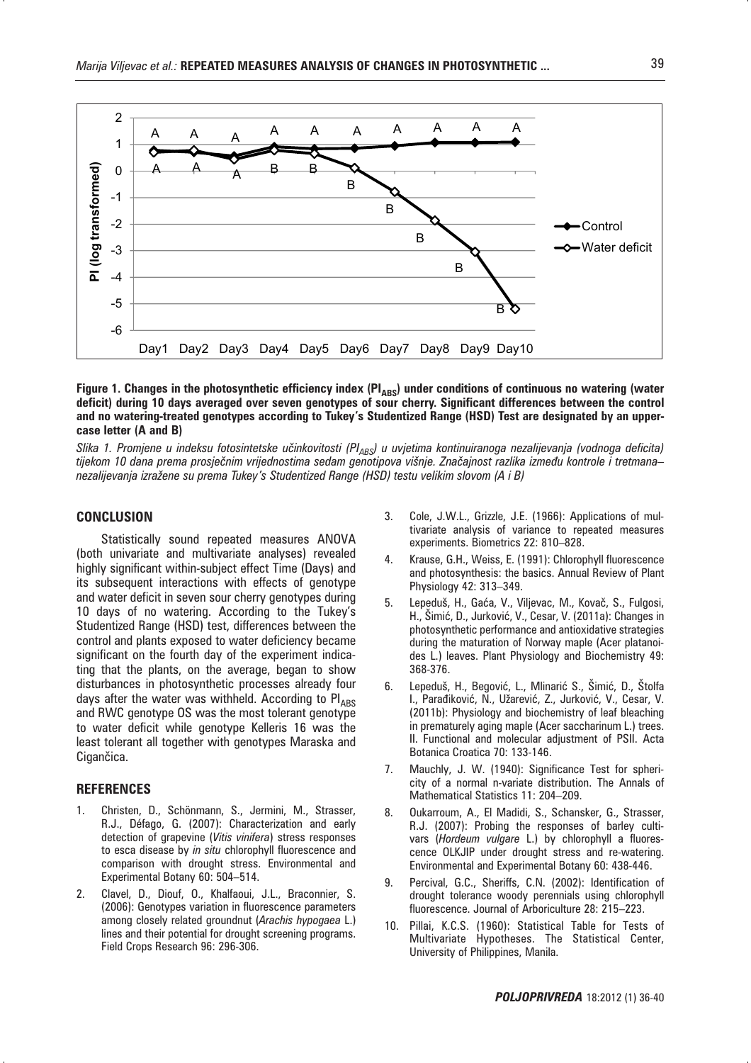

#### Figure 1. Changes in the photosynthetic efficiency index (PI<sub>ABS</sub>) under conditions of continuous no watering (water **deficit) during 10 days averaged over seven genotypes of sour cherry. Significant differences between the control and no watering-treated genotypes according to Tukey's Studentized Range (HSD) Test are designated by an uppercase letter (A and B)**

Slika 1. Promjene u indeksu fotosintetske učinkovitosti (Pl<sub>ABS</sub>) u uvjetima kontinuiranoga nezalijevanja (vodnoga deficita) tijekom 10 dana prema prosječnim vrijednostima sedam genotipova višnje. Značajnost razlika između kontrole i tretmana– *nezalijevanja izra`ene su prema Tukey's Studentized Range (HSD) testu velikim slovom (A i B)*

## **CONCLUSION**

Statistically sound repeated measures ANOVA (both univariate and multivariate analyses) revealed highly significant within-subject effect Time (Days) and its subsequent interactions with effects of genotype and water deficit in seven sour cherry genotypes during 10 days of no watering. According to the Tukey's Studentized Range (HSD) test, differences between the control and plants exposed to water deficiency became significant on the fourth day of the experiment indicating that the plants, on the average, began to show disturbances in photosynthetic processes already four days after the water was withheld. According to  $PI<sub>ARS</sub>$ and RWC genotype OS was the most tolerant genotype to water deficit while genotype Kelleris 16 was the least tolerant all together with genotypes Maraska and Cigančica.

#### **REFERENCES**

- 1. Christen, D., Schönmann, S., Jermini, M., Strasser, R.J., Défago, G. (2007): Characterization and early detection of grapevine (*Vitis vinifera*) stress responses to esca disease by *in situ* chlorophyll fluorescence and comparison with drought stress. Environmental and Experimental Botany 60: 504–514.
- 2. Clavel, D., Diouf, O., Khalfaoui, J.L., Braconnier, S. (2006): Genotypes variation in fluorescence parameters among closely related groundnut (*Arachis hypogaea* L.) lines and their potential for drought screening programs. Field Crops Research 96: 296-306.
- 3. Cole, J.W.L., Grizzle, J.E. (1966): Applications of multivariate analysis of variance to repeated measures experiments. Biometrics 22: 810–828.
- 4. Krause, G.H., Weiss, E. (1991): Chlorophyll fluorescence and photosynthesis: the basics. Annual Review of Plant Physiology 42: 313–349.
- Lepeduš, H., Gaća, V., Viljevac, M., Kovač, S., Fulgosi, H., Šimić, D., Jurković, V., Cesar, V. (2011a): Changes in photosynthetic performance and antioxidative strategies during the maturation of Norway maple (Acer platanoides L.) leaves. Plant Physiology and Biochemistry 49: 368-376.
- 6. Lepeduš, H., Begović, L., Mlinarić S., Šimić, D., Štolfa I., Parađiković, N., Užarević, Z., Jurković, V., Cesar, V. (2011b): Physiology and biochemistry of leaf bleaching in prematurely aging maple (Acer saccharinum L.) trees. II. Functional and molecular adjustment of PSII. Acta Botanica Croatica 70: 133-146.
- 7. Mauchly, J. W. (1940): Significance Test for sphericity of a normal n-variate distribution. The Annals of Mathematical Statistics 11: 204–209.
- 8. Oukarroum, A., El Madidi, S., Schansker, G., Strasser, R.J. (2007): Probing the responses of barley cultivars (*Hordeum vulgare* L.) by chlorophyll a fluorescence OLKJIP under drought stress and re-watering. Environmental and Experimental Botany 60: 438-446.
- 9. Percival, G.C., Sheriffs, C.N. (2002): Identification of drought tolerance woody perennials using chlorophyll fluorescence. Journal of Arboriculture 28: 215–223.
- 10. Pillai, K.C.S. (1960): Statistical Table for Tests of Multivariate Hypotheses. The Statistical Center, University of Philippines, Manila.